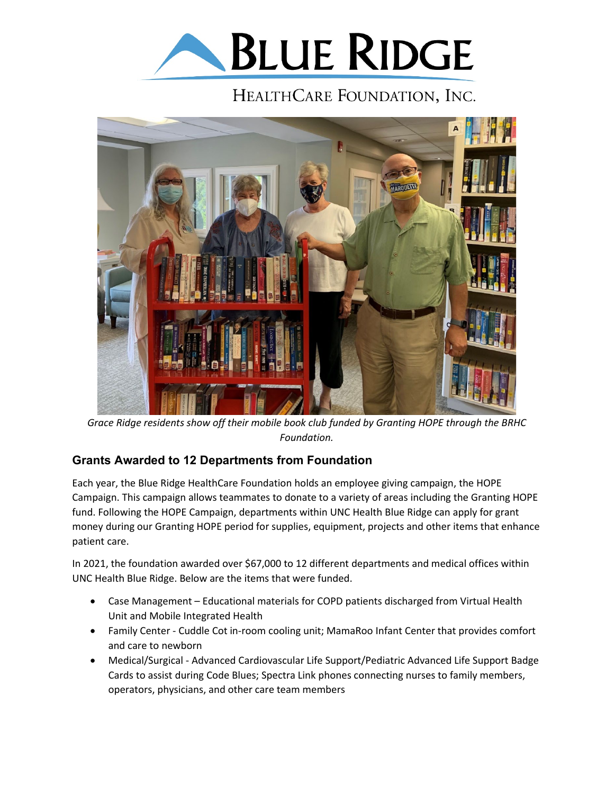

## HEALTHCARE FOUNDATION, INC.



*Grace Ridge residents show off their mobile book club funded by Granting HOPE through the BRHC Foundation.*

## **Grants Awarded to 12 Departments from Foundation**

Each year, the Blue Ridge HealthCare Foundation holds an employee giving campaign, the HOPE Campaign. This campaign allows teammates to donate to a variety of areas including the Granting HOPE fund. Following the HOPE Campaign, departments within UNC Health Blue Ridge can apply for grant money during our Granting HOPE period for supplies, equipment, projects and other items that enhance patient care.

In 2021, the foundation awarded over \$67,000 to 12 different departments and medical offices within UNC Health Blue Ridge. Below are the items that were funded.

- Case Management Educational materials for COPD patients discharged from Virtual Health Unit and Mobile Integrated Health
- Family Center Cuddle Cot in-room cooling unit; MamaRoo Infant Center that provides comfort and care to newborn
- Medical/Surgical Advanced Cardiovascular Life Support/Pediatric Advanced Life Support Badge Cards to assist during Code Blues; Spectra Link phones connecting nurses to family members, operators, physicians, and other care team members